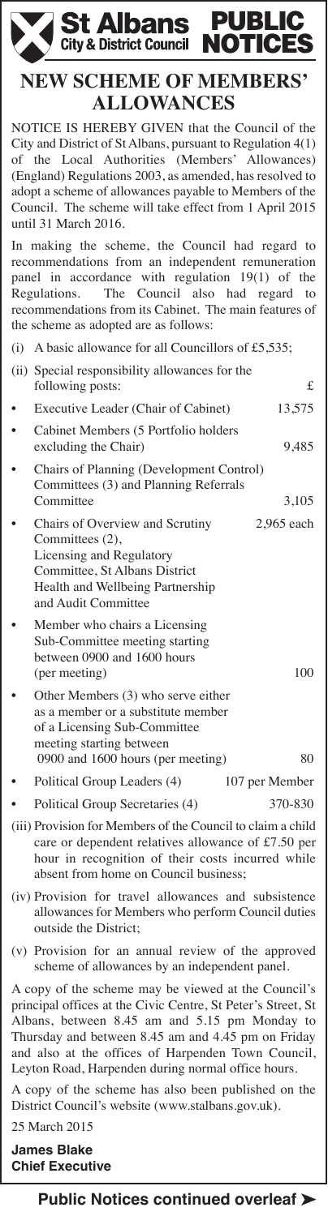

# **NEW SCHEME OF MEMBERS' ALLOWANCES**

NOTICE IS HEREBY GIVEN that the Council of the City and District of St Albans, pursuant to Regulation 4(1) of the Local Authorities (Members' Allowances) (England) Regulations 2003, as amended, has resolved to adopt a scheme of allowances payable to Members of the Council. The scheme will take effect from 1 April 2015 until 31 March 2016.

In making the scheme, the Council had regard to recommendations from an independent remuneration panel in accordance with regulation 19(1) of the Regulations. The Council also had regard to recommendations from its Cabinet. The main features of the scheme as adopted are as follows:

| (i) A basic allowance for all Councillors of £5,535;                                                                                                                       |                |
|----------------------------------------------------------------------------------------------------------------------------------------------------------------------------|----------------|
| (ii) Special responsibility allowances for the<br>following posts:                                                                                                         | £              |
| Executive Leader (Chair of Cabinet)                                                                                                                                        | 13,575         |
| Cabinet Members (5 Portfolio holders<br>excluding the Chair)                                                                                                               | 9,485          |
| Chairs of Planning (Development Control)<br>Committees (3) and Planning Referrals<br>Committee                                                                             | 3,105          |
| Chairs of Overview and Scrutiny<br>Committees (2),<br>Licensing and Regulatory<br>Committee, St Albans District<br>Health and Wellbeing Partnership<br>and Audit Committee | 2,965 each     |
| Member who chairs a Licensing<br>Sub-Committee meeting starting<br>between 0900 and 1600 hours<br>(per meeting)                                                            | 100            |
| Other Members (3) who serve either<br>as a member or a substitute member<br>of a Licensing Sub-Committee<br>meeting starting between<br>0900 and 1600 hours (per meeting)  | 80             |
| Political Group Leaders (4)                                                                                                                                                | 107 per Member |
| Political Group Secretaries (4)                                                                                                                                            | 370-830        |

- (iii) Provision for Members of the Council to claim a child care or dependent relatives allowance of £7.50 per hour in recognition of their costs incurred while absent from home on Council business;
- (iv) Provision for travel allowances and subsistence allowances for Members who perform Council duties outside the District;
- (v) Provision for an annual review of the approved scheme of allowances by an independent panel.

A copy of the scheme may be viewed at the Council's principal offices at the Civic Centre, St Peter's Street, St Albans, between 8.45 am and 5.15 pm Monday to Thursday and between 8.45 am and 4.45 pm on Friday and also at the offices of Harpenden Town Council, Leyton Road, Harpenden during normal office hours.

A copy of the scheme has also been published on the District Council's website (www.stalbans.gov.uk).

25 March 2015

**James Blake Chief Executive**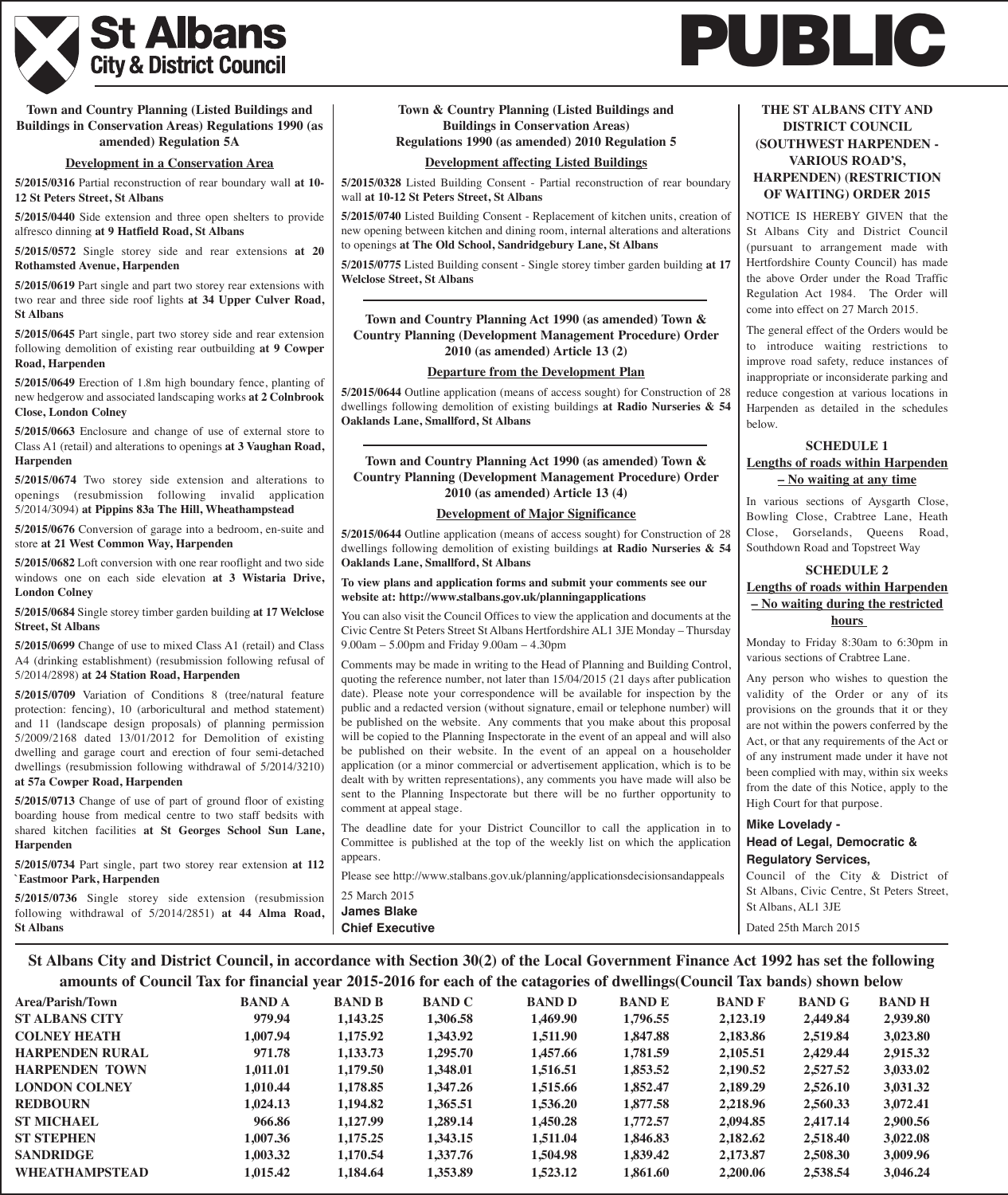

**Town and Country Planning (Listed Buildings and Buildings in Conservation Areas) Regulations 1990 (as amended) Regulation 5A**

#### **Development in a Conservation Area**

**5/2015/0316** Partial reconstruction of rear boundary wall **at 10- 12 St Peters Street, St Albans**

**5/2015/0440** Side extension and three open shelters to provide alfresco dinning **at 9 Hatfield Road, St Albans**

**5/2015/0572** Single storey side and rear extensions **at 20 Rothamsted Avenue, Harpenden**

**5/2015/0619** Part single and part two storey rear extensions with two rear and three side roof lights **at 34 Upper Culver Road, St Albans**

**5/2015/0645** Part single, part two storey side and rear extension following demolition of existing rear outbuilding **at 9 Cowper Road, Harpenden**

**5/2015/0649** Erection of 1.8m high boundary fence, planting of new hedgerow and associated landscaping works **at 2 Colnbrook Close, London Colney**

**5/2015/0663** Enclosure and change of use of external store to Class A1 (retail) and alterations to openings **at 3 Vaughan Road, Harpenden**

**5/2015/0674** Two storey side extension and alterations to openings (resubmission following invalid application 5/2014/3094) **at Pippins 83a The Hill, Wheathampstead**

**5/2015/0676** Conversion of garage into a bedroom, en-suite and store **at 21 West Common Way, Harpenden**

**5/2015/0682** Loft conversion with one rear rooflight and two side windows one on each side elevation **at 3 Wistaria Drive, London Colney**

**5/2015/0684** Single storey timber garden building **at 17 Welclose Street, St Albans**

**5/2015/0699** Change of use to mixed Class A1 (retail) and Class A4 (drinking establishment) (resubmission following refusal of 5/2014/2898) **at 24 Station Road, Harpenden**

**5/2015/0709** Variation of Conditions 8 (tree/natural feature protection: fencing), 10 (arboricultural and method statement) and 11 (landscape design proposals) of planning permission 5/2009/2168 dated 13/01/2012 for Demolition of existing dwelling and garage court and erection of four semi-detached dwellings (resubmission following withdrawal of 5/2014/3210) **at 57a Cowper Road, Harpenden**

**5/2015/0713** Change of use of part of ground floor of existing boarding house from medical centre to two staff bedsits with shared kitchen facilities **at St Georges School Sun Lane, Harpenden**

**5/2015/0734** Part single, part two storey rear extension **at 112 `Eastmoor Park, Harpenden**

**5/2015/0736** Single storey side extension (resubmission following withdrawal of 5/2014/2851) **at 44 Alma Road, St Albans**

## **Town & Country Planning (Listed Buildings and Buildings in Conservation Areas) Regulations 1990 (as amended) 2010 Regulation 5**

#### **Development affecting Listed Buildings**

**5/2015/0328** Listed Building Consent - Partial reconstruction of rear boundary wall **at 10-12 St Peters Street, St Albans**

**5/2015/0740** Listed Building Consent - Replacement of kitchen units, creation of new opening between kitchen and dining room, internal alterations and alterations to openings **at The Old School, Sandridgebury Lane, St Albans**

**5/2015/0775** Listed Building consent - Single storey timber garden building **at 17 Welclose Street, St Albans**

# **Town and Country Planning Act 1990 (as amended) Town & Country Planning (Development Management Procedure) Order 2010 (as amended) Article 13 (2)**

#### **Departure from the Development Plan**

**5/2015/0644** Outline application (means of access sought) for Construction of 28 dwellings following demolition of existing buildings **at Radio Nurseries & 54 Oaklands Lane, Smallford, St Albans**

### **Town and Country Planning Act 1990 (as amended) Town & Country Planning (Development Management Procedure) Order 2010 (as amended) Article 13 (4)**

#### **Development of Major Significance**

**5/2015/0644** Outline application (means of access sought) for Construction of 28 dwellings following demolition of existing buildings **at Radio Nurseries & 54 Oaklands Lane, Smallford, St Albans**

#### **To view plans and application forms and submit your comments see our website at: http://www.stalbans.gov.uk/planningapplications**

You can also visit the Council Offices to view the application and documents at the Civic Centre St Peters Street St Albans Hertfordshire AL1 3JE Monday – Thursday 9.00am – 5.00pm and Friday 9.00am – 4.30pm

Comments may be made in writing to the Head of Planning and Building Control, quoting the reference number, not later than 15/04/2015 (21 days after publication date). Please note your correspondence will be available for inspection by the public and a redacted version (without signature, email or telephone number) will be published on the website. Any comments that you make about this proposal will be copied to the Planning Inspectorate in the event of an appeal and will also be published on their website. In the event of an appeal on a householder application (or a minor commercial or advertisement application, which is to be dealt with by written representations), any comments you have made will also be sent to the Planning Inspectorate but there will be no further opportunity to comment at appeal stage.

The deadline date for your District Councillor to call the application in to Committee is published at the top of the weekly list on which the application appears.

Please see http://www.stalbans.gov.uk/planning/applicationsdecisionsandappeals 25 March 2015 **James Blake**

# **THE ST ALBANS CITY AND DISTRICT COUNCIL (SOUTHWEST HARPENDEN - VARIOUS ROAD'S, HARPENDEN) (RESTRICTION**

**PUBLIC**

**OF WAITING) ORDER 2015** NOTICE IS HEREBY GIVEN that the St Albans City and District Council (pursuant to arrangement made with

Hertfordshire County Council) has made the above Order under the Road Traffic Regulation Act 1984. The Order will come into effect on 27 March 2015.

The general effect of the Orders would be to introduce waiting restrictions to improve road safety, reduce instances of inappropriate or inconsiderate parking and reduce congestion at various locations in Harpenden as detailed in the schedules below.

# **SCHEDULE 1 Lengths of roads within Harpenden – No waiting at any time**

In various sections of Aysgarth Close, Bowling Close, Crabtree Lane, Heath Close, Gorselands, Queens Road, Southdown Road and Topstreet Way

# **SCHEDULE 2 Lengths of roads within Harpenden – No waiting during the restricted hours**

Monday to Friday 8:30am to 6:30pm in various sections of Crabtree Lane.

Any person who wishes to question the validity of the Order or any of its provisions on the grounds that it or they are not within the powers conferred by the Act, or that any requirements of the Act or of any instrument made under it have not been complied with may, within six weeks from the date of this Notice, apply to the High Court for that purpose.

**Mike Lovelady - Head of Legal, Democratic & Regulatory Services,**

Council of the City & District of St Albans, Civic Centre, St Peters Street, St Albans, AL1 3JE

Dated 25th March 2015

# St Albans City and District Council, in accordance with Section 30(2) of the Local Government Finance Act 1992 has set the following amounts of Council Tax for financial year 2015-2016 for each of the catagories of dwellings(Council Tax bands) shown below

**Chief Executive**

| amounts of Council Tax for minimum year gold gold for each of the eaugures of unchings Council Tax bands) shown befow |              |               |               |               |               |               |               |               |
|-----------------------------------------------------------------------------------------------------------------------|--------------|---------------|---------------|---------------|---------------|---------------|---------------|---------------|
| Area/Parish/Town                                                                                                      | <b>BANDA</b> | <b>BAND B</b> | <b>BAND C</b> | <b>BAND D</b> | <b>BAND E</b> | <b>BAND F</b> | <b>BAND G</b> | <b>BAND H</b> |
| <b>ST ALBANS CITY</b>                                                                                                 | 979.94       | 1,143.25      | 1,306.58      | 1,469.90      | 1,796.55      | 2,123.19      | 2,449.84      | 2,939.80      |
| <b>COLNEY HEATH</b>                                                                                                   | 1,007.94     | 1,175.92      | 1,343.92      | 1,511.90      | 1,847.88      | 2,183.86      | 2,519.84      | 3,023.80      |
| HARPENDEN RURAL                                                                                                       | 971.78       | 1,133.73      | 1,295.70      | 1,457.66      | 1,781.59      | 2,105.51      | 2,429.44      | 2,915.32      |
| <b>HARPENDEN TOWN</b>                                                                                                 | 1,011.01     | 1,179.50      | 1,348.01      | 1,516.51      | 1,853.52      | 2,190.52      | 2,527.52      | 3,033.02      |
| <b>LONDON COLNEY</b>                                                                                                  | 1,010.44     | 1,178.85      | 1,347.26      | 1,515.66      | 1,852.47      | 2,189.29      | 2,526.10      | 3,031.32      |
| <b>REDBOURN</b>                                                                                                       | 1,024.13     | 1,194.82      | 1,365.51      | 1,536.20      | 1,877.58      | 2,218.96      | 2,560.33      | 3,072.41      |
| <b>ST MICHAEL</b>                                                                                                     | 966.86       | 1,127.99      | 1.289.14      | 1,450.28      | 1,772.57      | 2,094.85      | 2,417.14      | 2,900.56      |
| ST STEPHEN                                                                                                            | 1,007.36     | 1,175.25      | 1,343.15      | 1,511.04      | 1,846.83      | 2,182.62      | 2,518.40      | 3,022.08      |
| SANDRIDGE                                                                                                             | 1,003.32     | 1,170.54      | 1,337.76      | 1,504.98      | 1,839.42      | 2,173.87      | 2,508.30      | 3,009.96      |
| WHEATHAMPSTEAD                                                                                                        | 1,015.42     | 1,184.64      | 1,353.89      | 1,523.12      | 1,861.60      | 2,200.06      | 2,538.54      | 3,046.24      |
|                                                                                                                       |              |               |               |               |               |               |               |               |